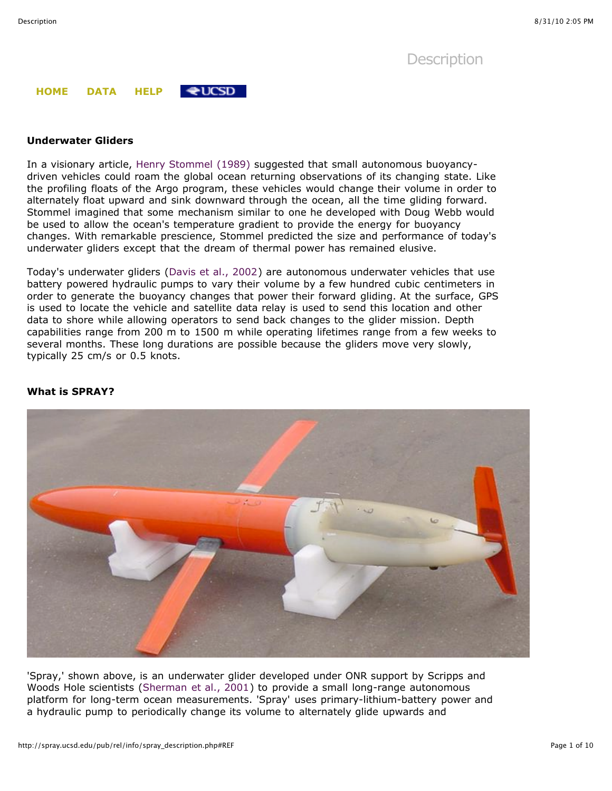**[Description](http://spray.ucsd.edu/pub/rel/info/spray_description.php)** 

#### **[HOME](http://spray.ucsd.edu/pub/rel/index.php) [DATA](http://spray.ucsd.edu/pub/rel/bin/data_table.php) [HELP](http://spray.ucsd.edu/pub/rel/info/help.php)**  $\bigstar$ UCSD

## **Underwater Gliders**

In a visionary article, [Henry Stommel \(1989\)](http://spray.ucsd.edu/pub/rel/info/spray_description.php#REF) suggested that small autonomous buoyancydriven vehicles could roam the global ocean returning observations of its changing state. Like the profiling floats of the Argo program, these vehicles would change their volume in order to alternately float upward and sink downward through the ocean, all the time gliding forward. Stommel imagined that some mechanism similar to one he developed with Doug Webb would be used to allow the ocean's temperature gradient to provide the energy for buoyancy changes. With remarkable prescience, Stommel predicted the size and performance of today's underwater gliders except that the dream of thermal power has remained elusive.

Today's underwater gliders [\(Davis et al., 2002](http://spray.ucsd.edu/pub/rel/info/spray_description.php#REF)) are autonomous underwater vehicles that use battery powered hydraulic pumps to vary their volume by a few hundred cubic centimeters in order to generate the buoyancy changes that power their forward gliding. At the surface, GPS is used to locate the vehicle and satellite data relay is used to send this location and other data to shore while allowing operators to send back changes to the glider mission. Depth capabilities range from 200 m to 1500 m while operating lifetimes range from a few weeks to several months. These long durations are possible because the gliders move very slowly, typically 25 cm/s or 0.5 knots.



## **What is SPRAY?**

'Spray,' shown above, is an underwater glider developed under ONR support by Scripps and Woods Hole scientists ([Sherman et al., 2001\)](http://spray.ucsd.edu/pub/rel/info/spray_description.php#REF) to provide a small long-range autonomous platform for long-term ocean measurements. 'Spray' uses primary-lithium-battery power and a hydraulic pump to periodically change its volume to alternately glide upwards and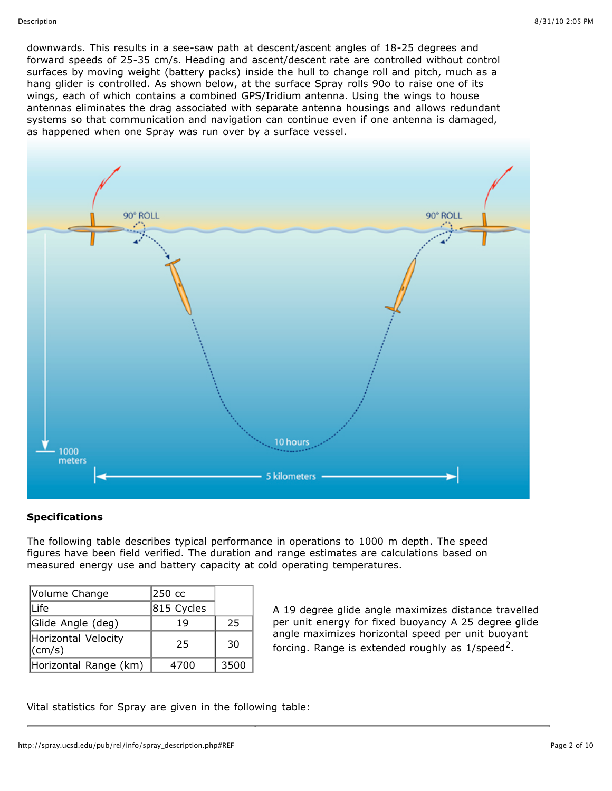downwards. This results in a see-saw path at descent/ascent angles of 18-25 degrees and forward speeds of 25-35 cm/s. Heading and ascent/descent rate are controlled without control surfaces by moving weight (battery packs) inside the hull to change roll and pitch, much as a hang glider is controlled. As shown below, at the surface Spray rolls 90o to raise one of its wings, each of which contains a combined GPS/Iridium antenna. Using the wings to house antennas eliminates the drag associated with separate antenna housings and allows redundant systems so that communication and navigation can continue even if one antenna is damaged, as happened when one Spray was run over by a surface vessel.



# **Specifications**

The following table describes typical performance in operations to 1000 m depth. The speed figures have been field verified. The duration and range estimates are calculations based on measured energy use and battery capacity at cold operating temperatures.

| Volume Change                         | 250 cc     |      |
|---------------------------------------|------------|------|
| Life                                  | 815 Cycles |      |
| Glide Angle (deg)                     | 19         | 25   |
| Horizontal Velocity<br>$\vert$ (cm/s) | 25         | 30   |
| Horizontal Range (km)                 | 4700       | 3500 |

A 19 degree glide angle maximizes distance travelled per unit energy for fixed buoyancy A 25 degree glide angle maximizes horizontal speed per unit buoyant forcing. Range is extended roughly as  $1$ /speed<sup>2</sup>.

Vital statistics for Spray are given in the following table: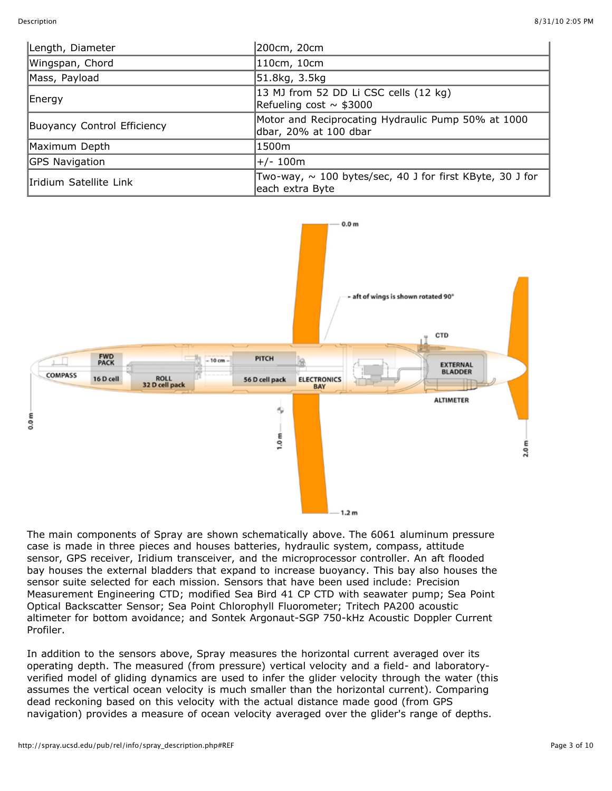| Length, Diameter            | 200cm, 20cm                                                                      |
|-----------------------------|----------------------------------------------------------------------------------|
| Wingspan, Chord             | 110cm, 10cm                                                                      |
| Mass, Payload               | 51.8kg, 3.5kg                                                                    |
| Energy                      | 13 MJ from 52 DD Li CSC cells (12 kg)<br>Refueling cost $\sim$ \$3000            |
| Buoyancy Control Efficiency | Motor and Reciprocating Hydraulic Pump 50% at 1000<br>dbar, 20% at 100 dbar      |
| Maximum Depth               | 1500m                                                                            |
| <b>GPS Navigation</b>       | +/- 100m                                                                         |
| Iridium Satellite Link      | Two-way, $\sim$ 100 bytes/sec, 40 J for first KByte, 30 J for<br>each extra Byte |



The main components of Spray are shown schematically above. The 6061 aluminum pressure case is made in three pieces and houses batteries, hydraulic system, compass, attitude sensor, GPS receiver, Iridium transceiver, and the microprocessor controller. An aft flooded bay houses the external bladders that expand to increase buoyancy. This bay also houses the sensor suite selected for each mission. Sensors that have been used include: Precision Measurement Engineering CTD; modified Sea Bird 41 CP CTD with seawater pump; Sea Point Optical Backscatter Sensor; Sea Point Chlorophyll Fluorometer; Tritech PA200 acoustic altimeter for bottom avoidance; and Sontek Argonaut-SGP 750-kHz Acoustic Doppler Current Profiler.

In addition to the sensors above, Spray measures the horizontal current averaged over its operating depth. The measured (from pressure) vertical velocity and a field- and laboratoryverified model of gliding dynamics are used to infer the glider velocity through the water (this assumes the vertical ocean velocity is much smaller than the horizontal current). Comparing dead reckoning based on this velocity with the actual distance made good (from GPS navigation) provides a measure of ocean velocity averaged over the glider's range of depths.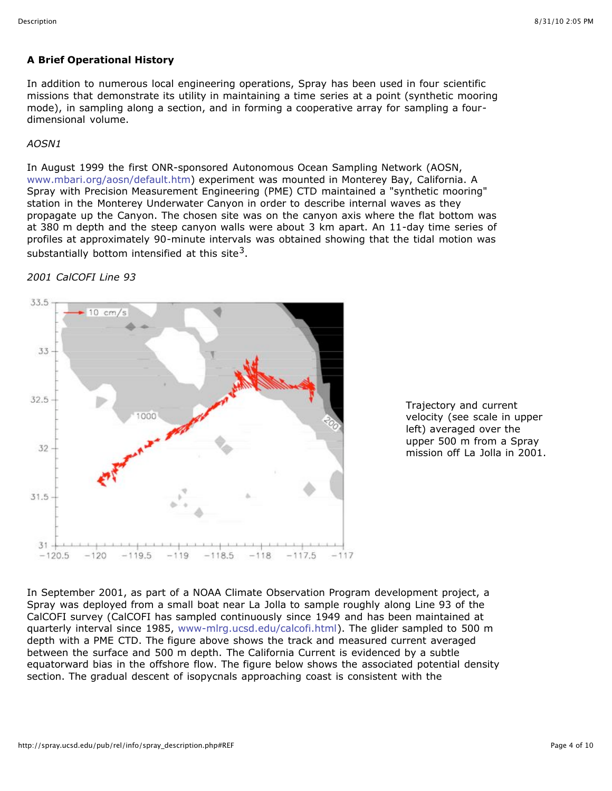# **A Brief Operational History**

In addition to numerous local engineering operations, Spray has been used in four scientific missions that demonstrate its utility in maintaining a time series at a point (synthetic mooring mode), in sampling along a section, and in forming a cooperative array for sampling a fourdimensional volume.

## *AOSN1*

In August 1999 the first ONR-sponsored Autonomous Ocean Sampling Network (AOSN, [www.mbari.org/aosn/default.htm\)](http://www.mbari.org/aosn/default.htm) experiment was mounted in Monterey Bay, California. A Spray with Precision Measurement Engineering (PME) CTD maintained a "synthetic mooring" station in the Monterey Underwater Canyon in order to describe internal waves as they propagate up the Canyon. The chosen site was on the canyon axis where the flat bottom was at 380 m depth and the steep canyon walls were about 3 km apart. An 11-day time series of profiles at approximately 90-minute intervals was obtained showing that the tidal motion was substantially bottom intensified at this site<sup>3</sup>.

# *2001 CalCOFI Line 93*





In September 2001, as part of a NOAA Climate Observation Program development project, a Spray was deployed from a small boat near La Jolla to sample roughly along Line 93 of the CalCOFI survey (CalCOFI has sampled continuously since 1949 and has been maintained at quarterly interval since 1985, [www-mlrg.ucsd.edu/calcofi.html](http://www-mlrg.ucsd.edu/calcofi.html)). The glider sampled to 500 m depth with a PME CTD. The figure above shows the track and measured current averaged between the surface and 500 m depth. The California Current is evidenced by a subtle equatorward bias in the offshore flow. The figure below shows the associated potential density section. The gradual descent of isopycnals approaching coast is consistent with the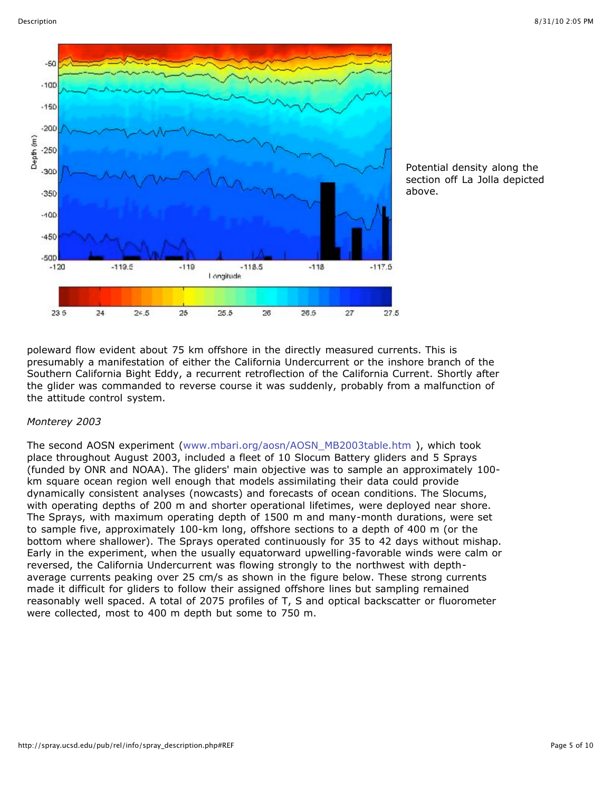

Potential density along the section off La Jolla depicted above.

poleward flow evident about 75 km offshore in the directly measured currents. This is presumably a manifestation of either the California Undercurrent or the inshore branch of the Southern California Bight Eddy, a recurrent retroflection of the California Current. Shortly after the glider was commanded to reverse course it was suddenly, probably from a malfunction of the attitude control system.

### *Monterey 2003*

The second AOSN experiment [\(www.mbari.org/aosn/AOSN\\_MB2003table.htm](http://www.mbari.org/aosn/AOSN_MB2003table.htm) ), which took place throughout August 2003, included a fleet of 10 Slocum Battery gliders and 5 Sprays (funded by ONR and NOAA). The gliders' main objective was to sample an approximately 100 km square ocean region well enough that models assimilating their data could provide dynamically consistent analyses (nowcasts) and forecasts of ocean conditions. The Slocums, with operating depths of 200 m and shorter operational lifetimes, were deployed near shore. The Sprays, with maximum operating depth of 1500 m and many-month durations, were set to sample five, approximately 100-km long, offshore sections to a depth of 400 m (or the bottom where shallower). The Sprays operated continuously for 35 to 42 days without mishap. Early in the experiment, when the usually equatorward upwelling-favorable winds were calm or reversed, the California Undercurrent was flowing strongly to the northwest with depthaverage currents peaking over 25 cm/s as shown in the figure below. These strong currents made it difficult for gliders to follow their assigned offshore lines but sampling remained reasonably well spaced. A total of 2075 profiles of T, S and optical backscatter or fluorometer were collected, most to 400 m depth but some to 750 m.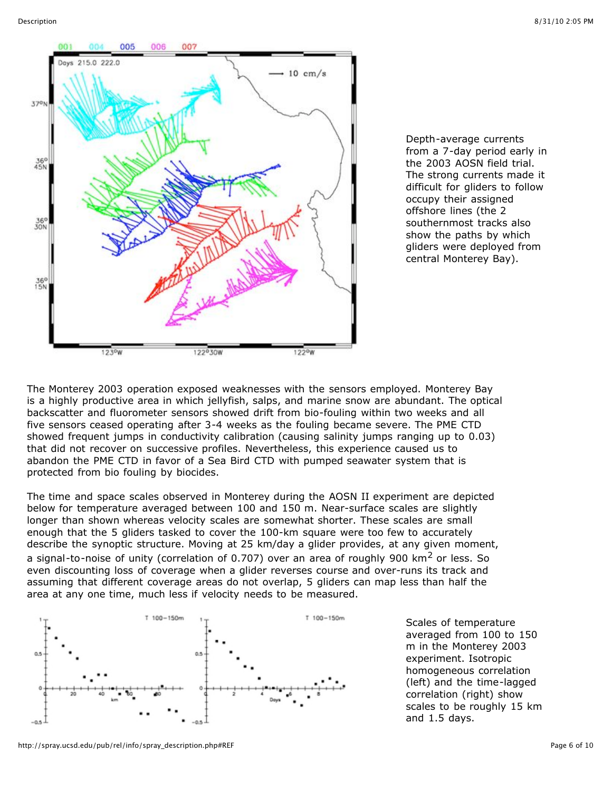

Depth-average currents from a 7-day period early in the 2003 AOSN field trial. The strong currents made it difficult for gliders to follow occupy their assigned offshore lines (the 2 southernmost tracks also show the paths by which gliders were deployed from central Monterey Bay).

The Monterey 2003 operation exposed weaknesses with the sensors employed. Monterey Bay is a highly productive area in which jellyfish, salps, and marine snow are abundant. The optical backscatter and fluorometer sensors showed drift from bio-fouling within two weeks and all five sensors ceased operating after 3-4 weeks as the fouling became severe. The PME CTD showed frequent jumps in conductivity calibration (causing salinity jumps ranging up to 0.03) that did not recover on successive profiles. Nevertheless, this experience caused us to abandon the PME CTD in favor of a Sea Bird CTD with pumped seawater system that is protected from bio fouling by biocides.

The time and space scales observed in Monterey during the AOSN II experiment are depicted below for temperature averaged between 100 and 150 m. Near-surface scales are slightly longer than shown whereas velocity scales are somewhat shorter. These scales are small enough that the 5 gliders tasked to cover the 100-km square were too few to accurately describe the synoptic structure. Moving at 25 km/day a glider provides, at any given moment, a signal-to-noise of unity (correlation of 0.707) over an area of roughly 900  $\text{km}^2$  or less. So even discounting loss of coverage when a glider reverses course and over-runs its track and assuming that different coverage areas do not overlap, 5 gliders can map less than half the area at any one time, much less if velocity needs to be measured.



Scales of temperature averaged from 100 to 150 m in the Monterey 2003 experiment. Isotropic homogeneous correlation (left) and the time-lagged correlation (right) show scales to be roughly 15 km and 1.5 days.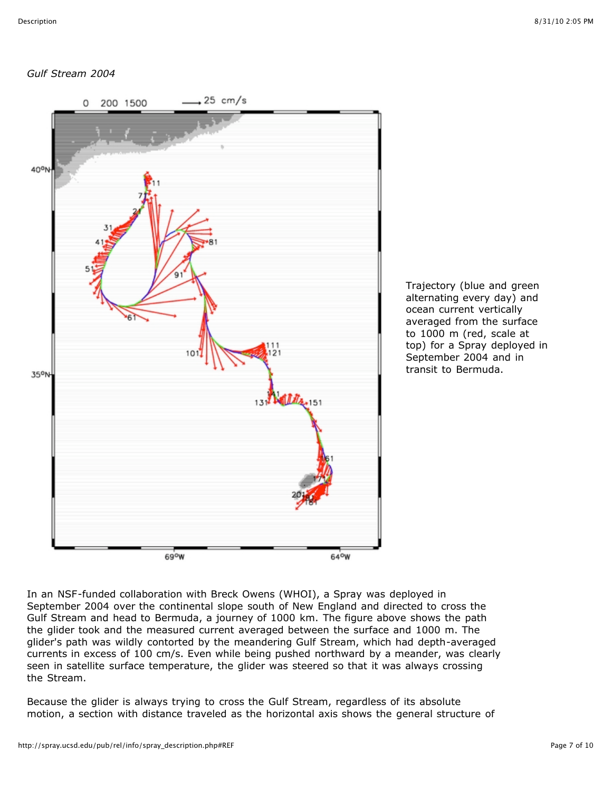# *Gulf Stream 2004*



Trajectory (blue and green alternating every day) and ocean current vertically averaged from the surface to 1000 m (red, scale at top) for a Spray deployed in September 2004 and in transit to Bermuda.

In an NSF-funded collaboration with Breck Owens (WHOI), a Spray was deployed in September 2004 over the continental slope south of New England and directed to cross the Gulf Stream and head to Bermuda, a journey of 1000 km. The figure above shows the path the glider took and the measured current averaged between the surface and 1000 m. The glider's path was wildly contorted by the meandering Gulf Stream, which had depth-averaged currents in excess of 100 cm/s. Even while being pushed northward by a meander, was clearly seen in satellite surface temperature, the glider was steered so that it was always crossing the Stream.

Because the glider is always trying to cross the Gulf Stream, regardless of its absolute motion, a section with distance traveled as the horizontal axis shows the general structure of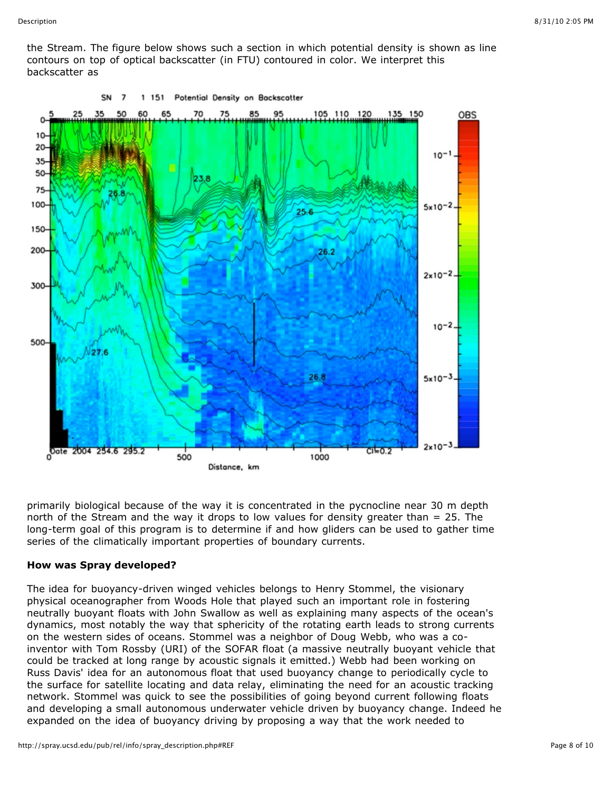the Stream. The figure below shows such a section in which potential density is shown as line contours on top of optical backscatter (in FTU) contoured in color. We interpret this backscatter as



primarily biological because of the way it is concentrated in the pycnocline near 30 m depth north of the Stream and the way it drops to low values for density greater than = 25. The long-term goal of this program is to determine if and how gliders can be used to gather time series of the climatically important properties of boundary currents.

### **How was Spray developed?**

The idea for buoyancy-driven winged vehicles belongs to Henry Stommel, the visionary physical oceanographer from Woods Hole that played such an important role in fostering neutrally buoyant floats with John Swallow as well as explaining many aspects of the ocean's dynamics, most notably the way that sphericity of the rotating earth leads to strong currents on the western sides of oceans. Stommel was a neighbor of Doug Webb, who was a coinventor with Tom Rossby (URI) of the SOFAR float (a massive neutrally buoyant vehicle that could be tracked at long range by acoustic signals it emitted.) Webb had been working on Russ Davis' idea for an autonomous float that used buoyancy change to periodically cycle to the surface for satellite locating and data relay, eliminating the need for an acoustic tracking network. Stommel was quick to see the possibilities of going beyond current following floats and developing a small autonomous underwater vehicle driven by buoyancy change. Indeed he expanded on the idea of buoyancy driving by proposing a way that the work needed to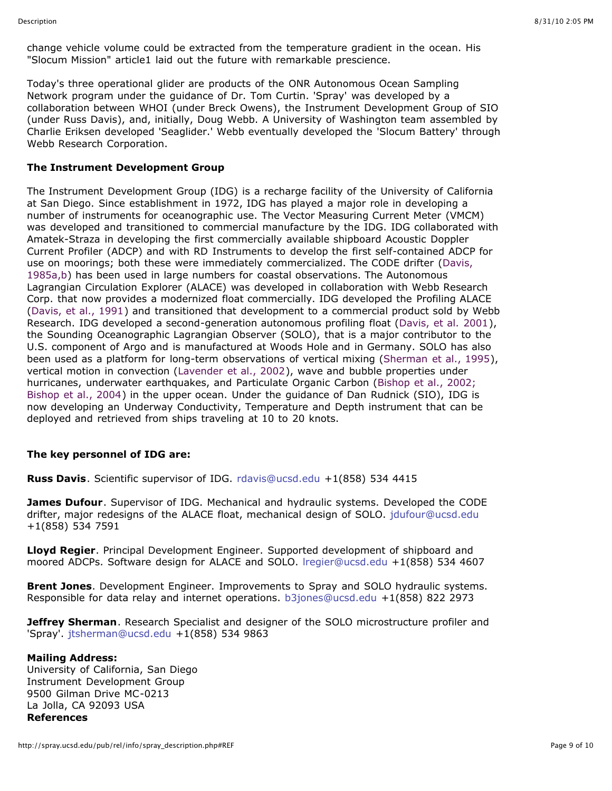change vehicle volume could be extracted from the temperature gradient in the ocean. His "Slocum Mission" article1 laid out the future with remarkable prescience.

Today's three operational glider are products of the ONR Autonomous Ocean Sampling Network program under the guidance of Dr. Tom Curtin. 'Spray' was developed by a collaboration between WHOI (under Breck Owens), the Instrument Development Group of SIO (under Russ Davis), and, initially, Doug Webb. A University of Washington team assembled by Charlie Eriksen developed 'Seaglider.' Webb eventually developed the 'Slocum Battery' through Webb Research Corporation.

### **The Instrument Development Group**

The Instrument Development Group (IDG) is a recharge facility of the University of California at San Diego. Since establishment in 1972, IDG has played a major role in developing a number of instruments for oceanographic use. The Vector Measuring Current Meter (VMCM) was developed and transitioned to commercial manufacture by the IDG. IDG collaborated with Amatek-Straza in developing the first commercially available shipboard Acoustic Doppler Current Profiler (ADCP) and with RD Instruments to develop the first self-contained ADCP for [use on moorings; both these were immediately commercialized. The CODE drifter \(Davis,](http://spray.ucsd.edu/pub/rel/info/spray_description.php#REF) 1985a,b) has been used in large numbers for coastal observations. The Autonomous Lagrangian Circulation Explorer (ALACE) was developed in collaboration with Webb Research Corp. that now provides a modernized float commercially. IDG developed the Profiling ALACE [\(Davis, et al., 1991](http://spray.ucsd.edu/pub/rel/info/spray_description.php#REF)) and transitioned that development to a commercial product sold by Webb Research. IDG developed a second-generation autonomous profiling float ([Davis, et al. 2001](http://spray.ucsd.edu/pub/rel/info/spray_description.php#REF)), the Sounding Oceanographic Lagrangian Observer (SOLO), that is a major contributor to the U.S. component of Argo and is manufactured at Woods Hole and in Germany. SOLO has also been used as a platform for long-term observations of vertical mixing ([Sherman et al., 1995\)](http://spray.ucsd.edu/pub/rel/info/spray_description.php#REF), vertical motion in convection [\(Lavender et al., 2002\)](http://spray.ucsd.edu/pub/rel/info/spray_description.php#REF), wave and bubble properties under hurricanes, underwater earthquakes, and Particulate Organic Carbon (Bishop et al., 2002; [Bishop et al., 2004\) in the upper ocean. Under the guidance of Dan Rudnick \(SIO\), IDG is](http://spray.ucsd.edu/pub/rel/info/spray_description.php#REF) now developing an Underway Conductivity, Temperature and Depth instrument that can be deployed and retrieved from ships traveling at 10 to 20 knots.

### **The key personnel of IDG are:**

**Russ Davis**. Scientific supervisor of IDG. [rdavis@ucsd.edu](mailto:rdavis@ucsd.edu) +1(858) 534 4415

**James Dufour**. Supervisor of IDG. Mechanical and hydraulic systems. Developed the CODE drifter, major redesigns of the ALACE float, mechanical design of SOLO. [jdufour@ucsd.edu](mailto:jdufour@ucsd.edu) +1(858) 534 7591

**Lloyd Regier**. Principal Development Engineer. Supported development of shipboard and moored ADCPs. Software design for ALACE and SOLO. [lregier@ucsd.edu](mailto:lregier@ucsd.edu) +1(858) 534 4607

**Brent Jones**. Development Engineer. Improvements to Spray and SOLO hydraulic systems. Responsible for data relay and internet operations. [b3jones@ucsd.edu](mailto:b3jones@ucsd.edu) +1(858) 822 2973

**Jeffrey Sherman**. Research Specialist and designer of the SOLO microstructure profiler and 'Spray'. [jtsherman@ucsd.edu](mailto:jtserman@ucsd.edu) +1(858) 534 9863

### **Mailing Address:**

University of California, San Diego Instrument Development Group 9500 Gilman Drive MC-0213 La Jolla, CA 92093 USA **References**